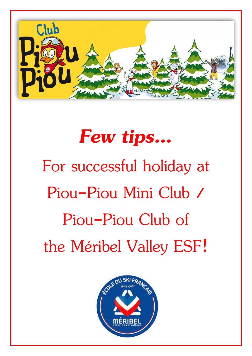

# *Few tips…* For successful holiday at Piou-Piou Mini Club / Piou-Piou Club of the Méribel Valley ESF!

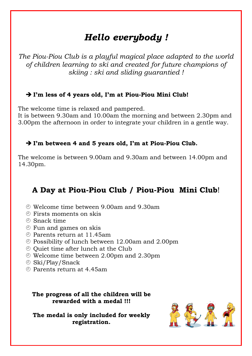# *Hello everybody !*

*The Piou-Piou Club is a playful magical place adapted to the world of children learning to ski and created for future champions of skiing : ski and sliding guarantied !*

#### ➔ **I'm less of 4 years old, I'm at Piou-Piou Mini Club!**

The welcome time is relaxed and pampered.

It is between 9.30am and 10.00am the morning and between 2.30pm and 3.00pm the afternoon in order to integrate your children in a gentle way.

#### ➔ **I'm between 4 and 5 years old, I'm at Piou-Piou Club.**

The welcome is between 9.00am and 9.30am and between 14.00pm and 14.30pm.

## **A Day at Piou-Piou Club / Piou-Piou Mini Club**!

- Welcome time between 9.00am and 9.30am
- Firsts moments on skis
- Snack time
- Fun and games on skis
- Parents return at 11.45am
- $\odot$  Possibility of lunch between 12.00am and 2.00pm
- $\odot$  Quiet time after lunch at the Club
- Welcome time between 2.00pm and 2.30pm
- Ski/Play/Snack
- Parents return at 4.45am

#### **The progress of all the children will be rewarded with a medal !!!**

**The medal is only included for weekly registration.**

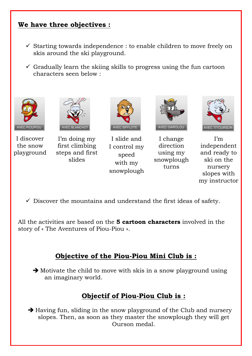### **We have three objectives :**

- $\checkmark$  Starting towards independence : to enable children to move freely on skis around the ski playground.
- $\checkmark$  Gradually learn the skiing skills to progress using the fun cartoon characters seen below :



I discover the snow playground



I'm doing my first climbing steps and first slides



I slide and I control my speed with my snowplough



I change direction using my snowplough turns



I'm independent and ready to ski on the nursery slopes with my instructor

 $\checkmark$  Discover the mountains and understand the first ideas of safety.

All the activities are based on the **5 cartoon characters** involved in the story of « The Aventures of Piou-Piou ».

## **Objective of the Piou-Piou Mini Club is :**

➔ Motivate the child to move with skis in a snow playground using an imaginary world.

## **Objectif of Piou-Piou Club is :**

**→** Having fun, sliding in the snow playground of the Club and nursery slopes. Then, as soon as they master the snowplough they will get Ourson medal.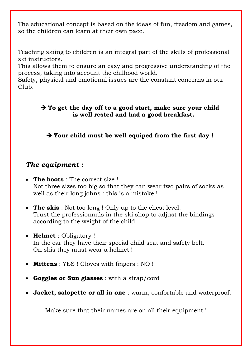The educational concept is based on the ideas of fun, freedom and games, so the children can learn at their own pace.

Teaching skiing to children is an integral part of the skills of professional ski instructors.

This allows them to ensure an easy and progressive understanding of the process, taking into account the chilhood world.

Safety, physical and emotional issues are the constant concerns in our Club.

#### ➔ **To get the day off to a good start, make sure your child is well rested and had a good breakfast.**

➔ **Your child must be well equiped from the first day !**

#### *The equipment :*

- **The boots** : The correct size ! Not three sizes too big so that they can wear two pairs of socks as well as their long johns : this is a mistake !
- **The skis** : Not too long ! Only up to the chest level. Trust the professionnals in the ski shop to adjust the bindings according to the weight of the child.
- **Helmet** : Obligatory ! In the car they have their special child seat and safety belt. On skis they must wear a helmet !
- **Mittens** : YES ! Gloves with fingers : NO !
- **Goggles or Sun glasses** : with a strap/cord
- **Jacket, salopette or all in one** : warm, confortable and waterproof.

Make sure that their names are on all their equipment !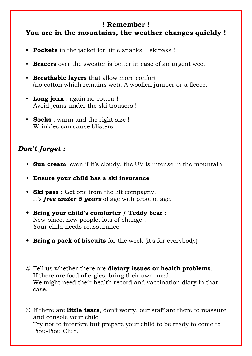#### **! Remember ! You are in the mountains, the weather changes quickly !**

- **Pockets** in the jacket for little snacks + skipass !
- **Bracers** over the sweater is better in case of an urgent wee.
- **Breathable layers** that allow more confort. (no cotton which remains wet). A woollen jumper or a fleece.
- **Long john** : again no cotton ! Avoid jeans under the ski trousers !
- **Socks** : warm and the right size ! Wrinkles can cause blisters.

## *Don't forget :*

- **Sun cream**, even if it's cloudy, the UV is intense in the mountain
- **Ensure your child has a ski insurance**
- **Ski pass :** Get one from the lift compagny. It's *free under 5 years* of age with proof of age.
- **Bring your child's comforter / Teddy bear :**  New place, new people, lots of change… Your child needs reassurance !
- **Bring a pack of biscuits** for the week (it's for everybody)
- ☺ Tell us whether there are **dietary issues or health problems**. If there are food allergies, bring their own meal. We might need their health record and vaccination diary in that case.
- ☺ If there are **little tears**, don't worry, our staff are there to reassure and console your child. Try not to interfere but prepare your child to be ready to come to Piou-Piou Club.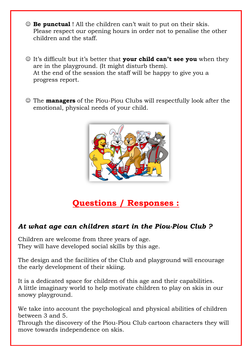- ☺ **Be punctual** ! All the children can't wait to put on their skis. Please respect our opening hours in order not to penalise the other children and the staff.
- ☺ It's difficult but it's better that **your child can't see you** when they are in the playground. (It might disturb them). At the end of the session the staff will be happy to give you a progress report.
- ☺ The **managers** of the Piou-Piou Clubs will respectfully look after the emotional, physical needs of your child.



# **Questions / Responses :**

## *At what age can children start in the Piou-Piou Club ?*

Children are welcome from three years of age. They will have developed social skills by this age.

The design and the facilities of the Club and playground will encourage the early development of their skiing.

It is a dedicated space for children of this age and their capabilities. A little imaginary world to help motivate children to play on skis in our snowy playground.

We take into account the psychological and physical abilities of children between 3 and 5.

Through the discovery of the Piou-Piou Club cartoon characters they will move towards independence on skis.